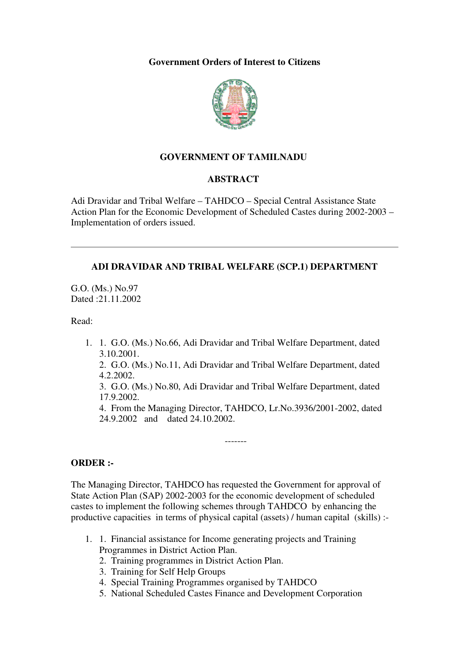**Government Orders of Interest to Citizens** 



# **GOVERNMENT OF TAMILNADU**

### **ABSTRACT**

Adi Dravidar and Tribal Welfare – TAHDCO – Special Central Assistance State Action Plan for the Economic Development of Scheduled Castes during 2002-2003 – Implementation of orders issued.

### **ADI DRAVIDAR AND TRIBAL WELFARE (SCP.1) DEPARTMENT**

G.O. (Ms.) No.97 Dated :21.11.2002

Read:

1. 1. G.O. (Ms.) No.66, Adi Dravidar and Tribal Welfare Department, dated 3.10.2001.

2. G.O. (Ms.) No.11, Adi Dravidar and Tribal Welfare Department, dated 4.2.2002.

3. G.O. (Ms.) No.80, Adi Dravidar and Tribal Welfare Department, dated 17.9.2002.

4. From the Managing Director, TAHDCO, Lr.No.3936/2001-2002, dated 24.9.2002 and dated 24.10.2002.

-------

#### **ORDER :-**

The Managing Director, TAHDCO has requested the Government for approval of State Action Plan (SAP) 2002-2003 for the economic development of scheduled castes to implement the following schemes through TAHDCO by enhancing the productive capacities in terms of physical capital (assets) / human capital (skills) :-

- 1. 1. Financial assistance for Income generating projects and Training Programmes in District Action Plan.
	- 2. Training programmes in District Action Plan.
	- 3. Training for Self Help Groups
	- 4. Special Training Programmes organised by TAHDCO
	- 5. National Scheduled Castes Finance and Development Corporation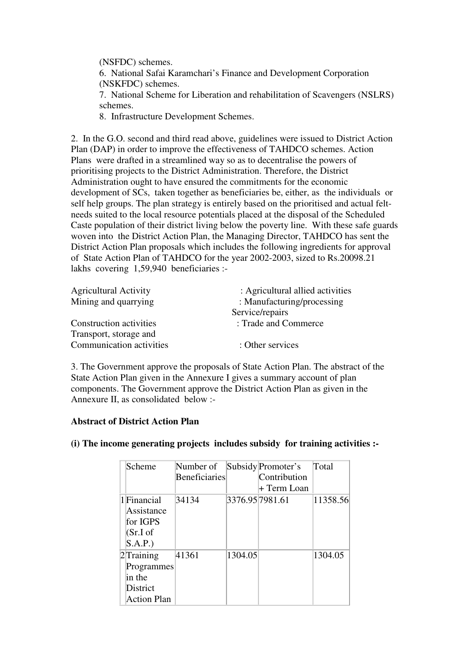(NSFDC) schemes.

6. National Safai Karamchari's Finance and Development Corporation (NSKFDC) schemes.

7. National Scheme for Liberation and rehabilitation of Scavengers (NSLRS) schemes.

8. Infrastructure Development Schemes.

2. In the G.O. second and third read above, guidelines were issued to District Action Plan (DAP) in order to improve the effectiveness of TAHDCO schemes. Action Plans were drafted in a streamlined way so as to decentralise the powers of prioritising projects to the District Administration. Therefore, the District Administration ought to have ensured the commitments for the economic development of SCs, taken together as beneficiaries be, either, as the individuals or self help groups. The plan strategy is entirely based on the prioritised and actual feltneeds suited to the local resource potentials placed at the disposal of the Scheduled Caste population of their district living below the poverty line. With these safe guards woven into the District Action Plan, the Managing Director, TAHDCO has sent the District Action Plan proposals which includes the following ingredients for approval of State Action Plan of TAHDCO for the year 2002-2003, sized to Rs.20098.21 lakhs covering 1,59,940 beneficiaries :-

| <b>Agricultural Activity</b> | : Agricultural allied activities |  |  |
|------------------------------|----------------------------------|--|--|
| Mining and quarrying         | : Manufacturing/processing       |  |  |
|                              | Service/repairs                  |  |  |
| Construction activities      | : Trade and Commerce             |  |  |
| Transport, storage and       |                                  |  |  |
| Communication activities     | : Other services                 |  |  |

3. The Government approve the proposals of State Action Plan. The abstract of the State Action Plan given in the Annexure I gives a summary account of plan components. The Government approve the District Action Plan as given in the Annexure II, as consolidated below :-

## **Abstract of District Action Plan**

| Scheme                 | Number of<br>Beneficiaries |         | Subsidy Promoter's<br>Contribution<br>+ Term Loan | Total    |
|------------------------|----------------------------|---------|---------------------------------------------------|----------|
| 1 Financial            | 34134                      |         | 3376.95 7981.61                                   | 11358.56 |
| Assistance<br>for IGPS |                            |         |                                                   |          |
| (Sr.I of<br>S.A.P.)    |                            |         |                                                   |          |
| $2$ Training           | 41361                      | 1304.05 |                                                   | 1304.05  |
| Programmes             |                            |         |                                                   |          |
| in the                 |                            |         |                                                   |          |
| District               |                            |         |                                                   |          |
| Action Plan            |                            |         |                                                   |          |

## **(i) The income generating projects includes subsidy for training activities :-**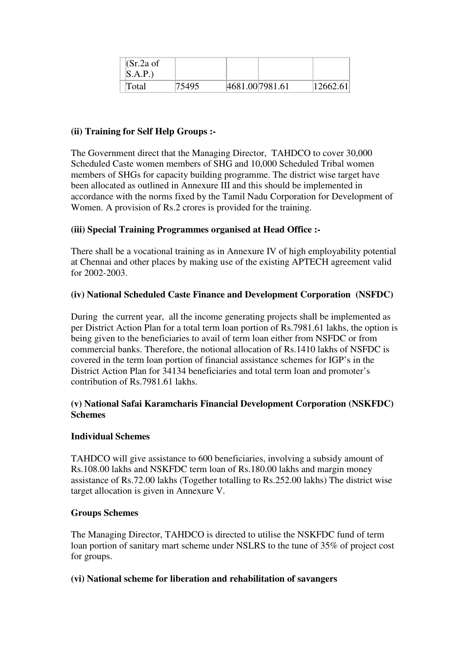| $(Sr.2a$ of |       |                 |          |
|-------------|-------|-----------------|----------|
| S.A.P.)     |       |                 |          |
| Total       | 75495 | 4681.00 7981.61 | 12662.61 |

## **(ii) Training for Self Help Groups :-**

The Government direct that the Managing Director, TAHDCO to cover 30,000 Scheduled Caste women members of SHG and 10,000 Scheduled Tribal women members of SHGs for capacity building programme. The district wise target have been allocated as outlined in Annexure III and this should be implemented in accordance with the norms fixed by the Tamil Nadu Corporation for Development of Women. A provision of Rs.2 crores is provided for the training.

### **(iii) Special Training Programmes organised at Head Office :-**

There shall be a vocational training as in Annexure IV of high employability potential at Chennai and other places by making use of the existing APTECH agreement valid for 2002-2003.

### **(iv) National Scheduled Caste Finance and Development Corporation (NSFDC)**

During the current year, all the income generating projects shall be implemented as per District Action Plan for a total term loan portion of Rs.7981.61 lakhs, the option is being given to the beneficiaries to avail of term loan either from NSFDC or from commercial banks. Therefore, the notional allocation of Rs.1410 lakhs of NSFDC is covered in the term loan portion of financial assistance schemes for IGP's in the District Action Plan for 34134 beneficiaries and total term loan and promoter's contribution of Rs.7981.61 lakhs.

### **(v) National Safai Karamcharis Financial Development Corporation (NSKFDC) Schemes**

#### **Individual Schemes**

TAHDCO will give assistance to 600 beneficiaries, involving a subsidy amount of Rs.108.00 lakhs and NSKFDC term loan of Rs.180.00 lakhs and margin money assistance of Rs.72.00 lakhs (Together totalling to Rs.252.00 lakhs) The district wise target allocation is given in Annexure V.

#### **Groups Schemes**

The Managing Director, TAHDCO is directed to utilise the NSKFDC fund of term loan portion of sanitary mart scheme under NSLRS to the tune of 35% of project cost for groups.

#### **(vi) National scheme for liberation and rehabilitation of savangers**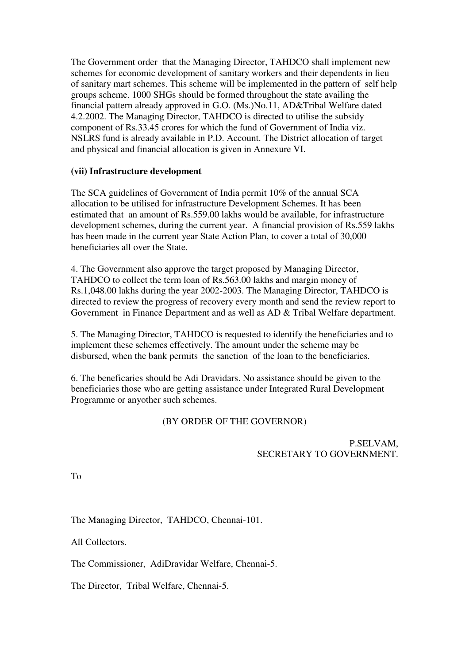The Government order that the Managing Director, TAHDCO shall implement new schemes for economic development of sanitary workers and their dependents in lieu of sanitary mart schemes. This scheme will be implemented in the pattern of self help groups scheme. 1000 SHGs should be formed throughout the state availing the financial pattern already approved in G.O. (Ms.)No.11, AD&Tribal Welfare dated 4.2.2002. The Managing Director, TAHDCO is directed to utilise the subsidy component of Rs.33.45 crores for which the fund of Government of India viz. NSLRS fund is already available in P.D. Account. The District allocation of target and physical and financial allocation is given in Annexure VI.

### **(vii) Infrastructure development**

The SCA guidelines of Government of India permit 10% of the annual SCA allocation to be utilised for infrastructure Development Schemes. It has been estimated that an amount of Rs.559.00 lakhs would be available, for infrastructure development schemes, during the current year. A financial provision of Rs.559 lakhs has been made in the current year State Action Plan, to cover a total of 30,000 beneficiaries all over the State.

4. The Government also approve the target proposed by Managing Director, TAHDCO to collect the term loan of Rs.563.00 lakhs and margin money of Rs.1,048.00 lakhs during the year 2002-2003. The Managing Director, TAHDCO is directed to review the progress of recovery every month and send the review report to Government in Finance Department and as well as AD & Tribal Welfare department.

5. The Managing Director, TAHDCO is requested to identify the beneficiaries and to implement these schemes effectively. The amount under the scheme may be disbursed, when the bank permits the sanction of the loan to the beneficiaries.

6. The beneficaries should be Adi Dravidars. No assistance should be given to the beneficiaries those who are getting assistance under Integrated Rural Development Programme or anyother such schemes.

## (BY ORDER OF THE GOVERNOR)

### P.SELVAM, SECRETARY TO GOVERNMENT.

To

The Managing Director, TAHDCO, Chennai-101.

All Collectors.

The Commissioner, AdiDravidar Welfare, Chennai-5.

The Director, Tribal Welfare, Chennai-5.